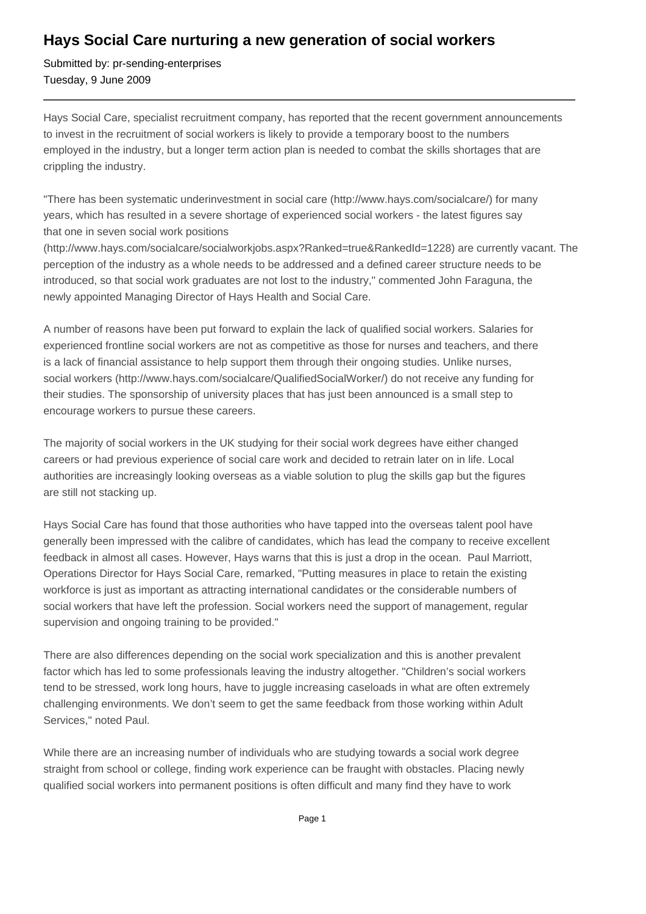## **Hays Social Care nurturing a new generation of social workers**

Submitted by: pr-sending-enterprises Tuesday, 9 June 2009

Hays Social Care, specialist recruitment company, has reported that the recent government announcements to invest in the recruitment of social workers is likely to provide a temporary boost to the numbers employed in the industry, but a longer term action plan is needed to combat the skills shortages that are crippling the industry.

"There has been systematic underinvestment in social care (http://www.hays.com/socialcare/) for many years, which has resulted in a severe shortage of experienced social workers - the latest figures say that one in seven social work positions

(http://www.hays.com/socialcare/socialworkjobs.aspx?Ranked=true&RankedId=1228) are currently vacant. The perception of the industry as a whole needs to be addressed and a defined career structure needs to be introduced, so that social work graduates are not lost to the industry," commented John Faraguna, the newly appointed Managing Director of Hays Health and Social Care.

A number of reasons have been put forward to explain the lack of qualified social workers. Salaries for experienced frontline social workers are not as competitive as those for nurses and teachers, and there is a lack of financial assistance to help support them through their ongoing studies. Unlike nurses, social workers (http://www.hays.com/socialcare/QualifiedSocialWorker/) do not receive any funding for their studies. The sponsorship of university places that has just been announced is a small step to encourage workers to pursue these careers.

The majority of social workers in the UK studying for their social work degrees have either changed careers or had previous experience of social care work and decided to retrain later on in life. Local authorities are increasingly looking overseas as a viable solution to plug the skills gap but the figures are still not stacking up.

Hays Social Care has found that those authorities who have tapped into the overseas talent pool have generally been impressed with the calibre of candidates, which has lead the company to receive excellent feedback in almost all cases. However, Hays warns that this is just a drop in the ocean. Paul Marriott, Operations Director for Hays Social Care, remarked, "Putting measures in place to retain the existing workforce is just as important as attracting international candidates or the considerable numbers of social workers that have left the profession. Social workers need the support of management, regular supervision and ongoing training to be provided."

There are also differences depending on the social work specialization and this is another prevalent factor which has led to some professionals leaving the industry altogether. "Children's social workers tend to be stressed, work long hours, have to juggle increasing caseloads in what are often extremely challenging environments. We don't seem to get the same feedback from those working within Adult Services," noted Paul.

While there are an increasing number of individuals who are studying towards a social work degree straight from school or college, finding work experience can be fraught with obstacles. Placing newly qualified social workers into permanent positions is often difficult and many find they have to work